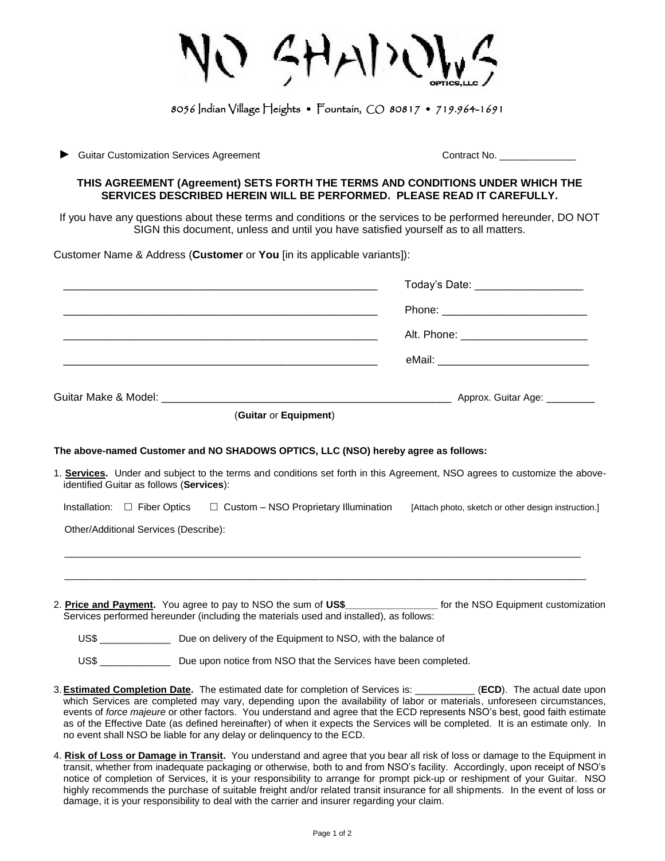$CHADO$ 

## 8056 Indian Village Heights • Fountain, CO 80817 • 719.964-1691

► Guitar Customization Services Agreement Contract No. \_\_\_\_\_\_\_\_\_\_\_\_\_\_

## **THIS AGREEMENT (Agreement) SETS FORTH THE TERMS AND CONDITIONS UNDER WHICH THE SERVICES DESCRIBED HEREIN WILL BE PERFORMED. PLEASE READ IT CAREFULLY.**

If you have any questions about these terms and conditions or the services to be performed hereunder, DO NOT SIGN this document, unless and until you have satisfied yourself as to all matters.

Customer Name & Address (**Customer** or **You** [in its applicable variants]):

|                                      |                                                                                        |                                              | Today's Date: ____________________                                                                                                                                                                                                                                                                                                                                                                                                                                                                                       |  |
|--------------------------------------|----------------------------------------------------------------------------------------|----------------------------------------------|--------------------------------------------------------------------------------------------------------------------------------------------------------------------------------------------------------------------------------------------------------------------------------------------------------------------------------------------------------------------------------------------------------------------------------------------------------------------------------------------------------------------------|--|
|                                      |                                                                                        |                                              |                                                                                                                                                                                                                                                                                                                                                                                                                                                                                                                          |  |
|                                      |                                                                                        |                                              |                                                                                                                                                                                                                                                                                                                                                                                                                                                                                                                          |  |
|                                      |                                                                                        |                                              |                                                                                                                                                                                                                                                                                                                                                                                                                                                                                                                          |  |
|                                      |                                                                                        |                                              |                                                                                                                                                                                                                                                                                                                                                                                                                                                                                                                          |  |
|                                      |                                                                                        | (Guitar or Equipment)                        |                                                                                                                                                                                                                                                                                                                                                                                                                                                                                                                          |  |
|                                      | The above-named Customer and NO SHADOWS OPTICS, LLC (NSO) hereby agree as follows:     |                                              |                                                                                                                                                                                                                                                                                                                                                                                                                                                                                                                          |  |
|                                      | identified Guitar as follows (Services):                                               |                                              | 1. Services. Under and subject to the terms and conditions set forth in this Agreement, NSO agrees to customize the above-                                                                                                                                                                                                                                                                                                                                                                                               |  |
| Installation: $\square$ Fiber Optics |                                                                                        | $\Box$ Custom – NSO Proprietary Illumination | [Attach photo, sketch or other design instruction.]                                                                                                                                                                                                                                                                                                                                                                                                                                                                      |  |
|                                      | Other/Additional Services (Describe):                                                  |                                              |                                                                                                                                                                                                                                                                                                                                                                                                                                                                                                                          |  |
|                                      |                                                                                        |                                              |                                                                                                                                                                                                                                                                                                                                                                                                                                                                                                                          |  |
|                                      |                                                                                        |                                              |                                                                                                                                                                                                                                                                                                                                                                                                                                                                                                                          |  |
|                                      | Services performed hereunder (including the materials used and installed), as follows: |                                              | 2. Price and Payment. You agree to pay to NSO the sum of US\$ __________________ for the NSO Equipment customization                                                                                                                                                                                                                                                                                                                                                                                                     |  |
|                                      | US\$ __________________ Due on delivery of the Equipment to NSO, with the balance of   |                                              |                                                                                                                                                                                                                                                                                                                                                                                                                                                                                                                          |  |
|                                      | US\$ _________________ Due upon notice from NSO that the Services have been completed. |                                              |                                                                                                                                                                                                                                                                                                                                                                                                                                                                                                                          |  |
|                                      | no event shall NSO be liable for any delay or delinguency to the ECD.                  |                                              | 3. <b>Estimated Completion Date.</b> The estimated date for completion of Services is: __________(ECD). The actual date upon<br>which Services are completed may vary, depending upon the availability of labor or materials, unforeseen circumstances,<br>events of force majeure or other factors. You understand and agree that the ECD represents NSO's best, good faith estimate<br>as of the Effective Date (as defined hereinafter) of when it expects the Services will be completed. It is an estimate only. In |  |

4. **Risk of Loss or Damage in Transit.** You understand and agree that you bear all risk of loss or damage to the Equipment in transit, whether from inadequate packaging or otherwise, both to and from NSO's facility. Accordingly, upon receipt of NSO's notice of completion of Services, it is your responsibility to arrange for prompt pick-up or reshipment of your Guitar. NSO highly recommends the purchase of suitable freight and/or related transit insurance for all shipments. In the event of loss or damage, it is your responsibility to deal with the carrier and insurer regarding your claim.